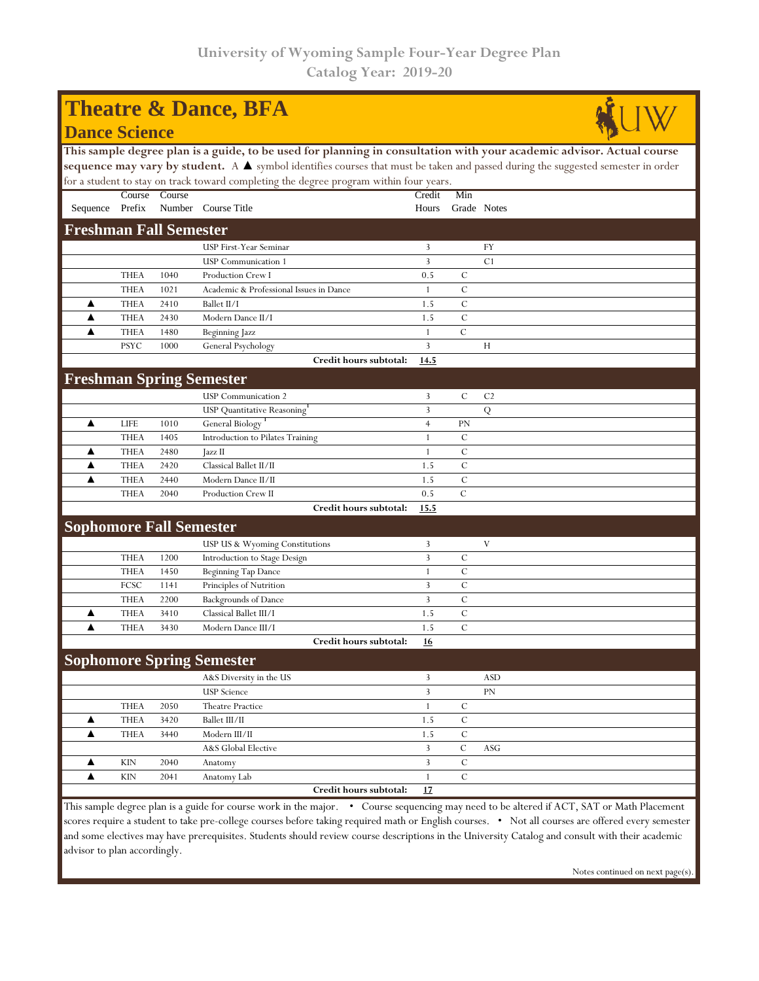| <b>Theatre &amp; Dance, BFA</b>                                                                                                                 |             |        |                                                                                                                       |                |               |                |  |  |  |  |
|-------------------------------------------------------------------------------------------------------------------------------------------------|-------------|--------|-----------------------------------------------------------------------------------------------------------------------|----------------|---------------|----------------|--|--|--|--|
| <b>Dance Science</b>                                                                                                                            |             |        |                                                                                                                       |                |               |                |  |  |  |  |
|                                                                                                                                                 |             |        | This sample degree plan is a guide, to be used for planning in consultation with your academic advisor. Actual course |                |               |                |  |  |  |  |
| sequence may vary by student. A $\blacktriangle$ symbol identifies courses that must be taken and passed during the suggested semester in order |             |        |                                                                                                                       |                |               |                |  |  |  |  |
| for a student to stay on track toward completing the degree program within four years.                                                          |             |        |                                                                                                                       |                |               |                |  |  |  |  |
|                                                                                                                                                 | Course      | Course |                                                                                                                       | Credit         | Min           |                |  |  |  |  |
| Sequence Prefix                                                                                                                                 |             |        | Number Course Title                                                                                                   | Hours          | Grade Notes   |                |  |  |  |  |
| <b>Freshman Fall Semester</b>                                                                                                                   |             |        |                                                                                                                       |                |               |                |  |  |  |  |
|                                                                                                                                                 |             |        | <b>USP First-Year Seminar</b>                                                                                         | 3              |               | FY             |  |  |  |  |
|                                                                                                                                                 |             |        | <b>USP</b> Communication 1                                                                                            | 3              |               | C <sub>1</sub> |  |  |  |  |
|                                                                                                                                                 | <b>THEA</b> | 1040   | Production Crew I                                                                                                     | 0.5            | С             |                |  |  |  |  |
|                                                                                                                                                 | <b>THEA</b> | 1021   | Academic & Professional Issues in Dance                                                                               | 1              | C             |                |  |  |  |  |
| ▲                                                                                                                                               | <b>THEA</b> | 2410   | Ballet II/I                                                                                                           | 1.5            | $\mathcal{C}$ |                |  |  |  |  |
| ▲                                                                                                                                               | <b>THEA</b> | 2430   | Modern Dance II/I                                                                                                     | 1.5            | $\mathcal{C}$ |                |  |  |  |  |
| ▲                                                                                                                                               | <b>THEA</b> | 1480   | Beginning Jazz                                                                                                        | 1              | $\mathcal{C}$ |                |  |  |  |  |
|                                                                                                                                                 | <b>PSYC</b> | 1000   | General Psychology                                                                                                    | 3              |               | Н              |  |  |  |  |
|                                                                                                                                                 |             |        | Credit hours subtotal:                                                                                                | 14.5           |               |                |  |  |  |  |
| <b>Freshman Spring Semester</b>                                                                                                                 |             |        |                                                                                                                       |                |               |                |  |  |  |  |
|                                                                                                                                                 |             |        | <b>USP</b> Communication 2                                                                                            | 3              | $\mathcal{C}$ | C <sub>2</sub> |  |  |  |  |
|                                                                                                                                                 |             |        | <b>USP</b> Quantitative Reasoning                                                                                     | 3              |               | ${\bf Q}$      |  |  |  |  |
| ▲                                                                                                                                               | <b>LIFE</b> | 1010   | General Biology <sup>1</sup>                                                                                          | $\overline{4}$ | <b>PN</b>     |                |  |  |  |  |
|                                                                                                                                                 | <b>THEA</b> | 1405   | Introduction to Pilates Training                                                                                      | $\mathbf{1}$   | $\mathcal{C}$ |                |  |  |  |  |
| ▲                                                                                                                                               | <b>THEA</b> | 2480   | Jazz II                                                                                                               | 1              | $\mathcal{C}$ |                |  |  |  |  |
| ▲                                                                                                                                               | <b>THEA</b> | 2420   | Classical Ballet II/II                                                                                                | 1.5            | $\mathcal{C}$ |                |  |  |  |  |
|                                                                                                                                                 | <b>THEA</b> | 2440   | Modern Dance II/II                                                                                                    | 1.5            | $\mathcal{C}$ |                |  |  |  |  |
|                                                                                                                                                 | <b>THEA</b> | 2040   | <b>Production Crew II</b>                                                                                             | 0.5            | $\mathcal{C}$ |                |  |  |  |  |
|                                                                                                                                                 |             |        | Credit hours subtotal:                                                                                                | 15.5           |               |                |  |  |  |  |
| <b>Sophomore Fall Semester</b>                                                                                                                  |             |        |                                                                                                                       |                |               |                |  |  |  |  |
|                                                                                                                                                 |             |        | USP US & Wyoming Constitutions                                                                                        | 3              |               | V              |  |  |  |  |
|                                                                                                                                                 | <b>THEA</b> | 1200   | Introduction to Stage Design                                                                                          | 3              | C             |                |  |  |  |  |
|                                                                                                                                                 | <b>THEA</b> | 1450   | <b>Beginning Tap Dance</b>                                                                                            | 1              | $\mathcal{C}$ |                |  |  |  |  |
|                                                                                                                                                 | FCSC        | 1141   | Principles of Nutrition                                                                                               | 3              | C             |                |  |  |  |  |
|                                                                                                                                                 | <b>THEA</b> | 2200   | <b>Backgrounds of Dance</b>                                                                                           | 3              | $\mathcal{C}$ |                |  |  |  |  |
| ▲                                                                                                                                               | <b>THEA</b> | 3410   | Classical Ballet III/I                                                                                                | 1.5            | $\mathcal{C}$ |                |  |  |  |  |
| ▲                                                                                                                                               | <b>THEA</b> | 3430   | Modern Dance III/I                                                                                                    | 1.5            | $\mathcal{C}$ |                |  |  |  |  |
|                                                                                                                                                 |             |        | Credit hours subtotal:                                                                                                | 16             |               |                |  |  |  |  |
|                                                                                                                                                 |             |        | <b>Sophomore Spring Semester</b>                                                                                      |                |               |                |  |  |  |  |
|                                                                                                                                                 |             |        | A&S Diversity in the US                                                                                               | 3              |               | <b>ASD</b>     |  |  |  |  |
|                                                                                                                                                 |             |        | <b>USP</b> Science                                                                                                    | $\overline{3}$ |               | PN             |  |  |  |  |
|                                                                                                                                                 | <b>THEA</b> | 2050   | Theatre Practice                                                                                                      | $\mathbf{1}$   | С             |                |  |  |  |  |
| ▲                                                                                                                                               | <b>THEA</b> | 3420   | Ballet III/II                                                                                                         | 1.5            | C             |                |  |  |  |  |
| ▲                                                                                                                                               | <b>THEA</b> | 3440   | Modern III/II                                                                                                         | 1.5            | $\mathcal{C}$ |                |  |  |  |  |
|                                                                                                                                                 |             |        | A&S Global Elective                                                                                                   | $\mathbf{3}$   | $\cal C$      | <b>ASG</b>     |  |  |  |  |
| ▲                                                                                                                                               | <b>KIN</b>  | 2040   | Anatomy                                                                                                               | $\overline{3}$ | $\mathcal{C}$ |                |  |  |  |  |
| ▲                                                                                                                                               | <b>KIN</b>  | 2041   | Anatomy Lab                                                                                                           | $\mathbf{1}$   | $\mathbf C$   |                |  |  |  |  |
|                                                                                                                                                 |             |        | Credit hours subtotal:                                                                                                | 17             |               |                |  |  |  |  |

This sample degree plan is a guide for course work in the major. • Course sequencing may need to be altered if ACT, SAT or Math Placement scores require a student to take pre-college courses before taking required math or English courses. • Not all courses are offered every semester and some electives may have prerequisites. Students should review course descriptions in the University Catalog and consult with their academic advisor to plan accordingly.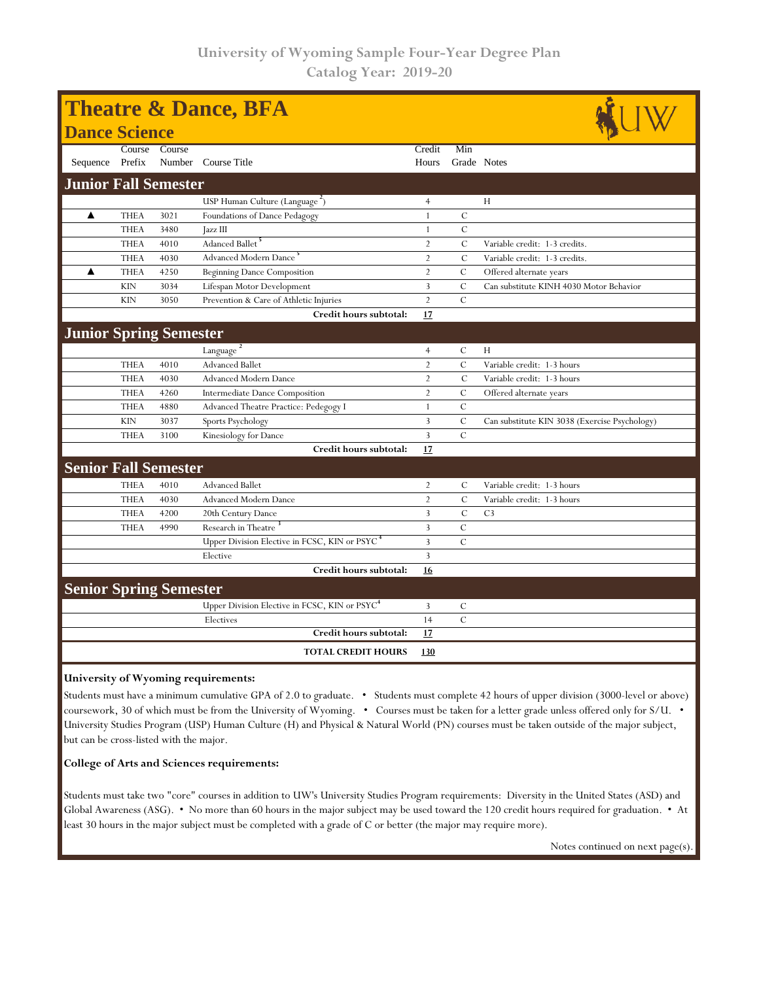| <b>Theatre &amp; Dance, BFA</b> |             |        |                                                           |                |                |                                               |  |  |  |  |
|---------------------------------|-------------|--------|-----------------------------------------------------------|----------------|----------------|-----------------------------------------------|--|--|--|--|
| <b>Dance Science</b>            |             |        |                                                           |                |                |                                               |  |  |  |  |
|                                 | Course      | Course |                                                           | Credit         | Min            |                                               |  |  |  |  |
| Sequence Prefix                 |             |        | Number Course Title                                       | Hours          | Grade Notes    |                                               |  |  |  |  |
| <b>Junior Fall Semester</b>     |             |        |                                                           |                |                |                                               |  |  |  |  |
|                                 |             |        | USP Human Culture (Language <sup>2</sup> )                | $\overline{4}$ |                | H                                             |  |  |  |  |
| ▲                               | <b>THEA</b> | 3021   | Foundations of Dance Pedagogy                             | $\mathbf{1}$   | $\mathbf C$    |                                               |  |  |  |  |
|                                 | <b>THEA</b> | 3480   | Jazz III                                                  | $\mathbf{1}$   | $\mathsf{C}$   |                                               |  |  |  |  |
|                                 | <b>THEA</b> | 4010   | Adanced Ballet <sup>5</sup>                               | $\overline{2}$ | $\mathcal{C}$  | Variable credit: 1-3 credits.                 |  |  |  |  |
|                                 | <b>THEA</b> | 4030   | Advanced Modern Dance                                     | $\overline{2}$ | $\mathcal{C}$  | Variable credit: 1-3 credits.                 |  |  |  |  |
| ▲                               | <b>THEA</b> | 4250   | <b>Beginning Dance Composition</b>                        | $\overline{2}$ | $\mathcal{C}$  | Offered alternate years                       |  |  |  |  |
|                                 | <b>KIN</b>  | 3034   | Lifespan Motor Development                                | 3              | $\mathcal{C}$  | Can substitute KINH 4030 Motor Behavior       |  |  |  |  |
|                                 | <b>KIN</b>  | 3050   | Prevention & Care of Athletic Injuries                    | $\overline{2}$ | $\mathcal{C}$  |                                               |  |  |  |  |
|                                 |             |        | Credit hours subtotal:                                    | 17             |                |                                               |  |  |  |  |
| <b>Junior Spring Semester</b>   |             |        |                                                           |                |                |                                               |  |  |  |  |
|                                 |             |        | Language $\frac{2}{x}$                                    | $\overline{4}$ | С              | H                                             |  |  |  |  |
|                                 | <b>THEA</b> | 4010   | <b>Advanced Ballet</b>                                    | $\overline{2}$ | $\mathcal{C}$  | Variable credit: 1-3 hours                    |  |  |  |  |
|                                 | <b>THEA</b> | 4030   | <b>Advanced Modern Dance</b>                              | $\overline{2}$ | $\mathcal{C}$  | Variable credit: 1-3 hours                    |  |  |  |  |
|                                 | <b>THEA</b> | 4260   | Intermediate Dance Composition                            | $\overline{2}$ | $\mathcal{C}$  | Offered alternate years                       |  |  |  |  |
|                                 | <b>THEA</b> | 4880   | Advanced Theatre Practice: Pedegogy I                     | $\mathbf{1}$   | $\mathcal{C}$  |                                               |  |  |  |  |
|                                 | <b>KIN</b>  | 3037   | Sports Psychology                                         | $\overline{3}$ | $\mathcal{C}$  | Can substitute KIN 3038 (Exercise Psychology) |  |  |  |  |
|                                 | <b>THEA</b> | 3100   | Kinesiology for Dance                                     | $\overline{3}$ | $\overline{C}$ |                                               |  |  |  |  |
|                                 |             |        | Credit hours subtotal:                                    | 17             |                |                                               |  |  |  |  |
| <b>Senior Fall Semester</b>     |             |        |                                                           |                |                |                                               |  |  |  |  |
|                                 | <b>THEA</b> | 4010   | <b>Advanced Ballet</b>                                    | $\overline{2}$ | C              | Variable credit: 1-3 hours                    |  |  |  |  |
|                                 | <b>THEA</b> | 4030   | <b>Advanced Modern Dance</b>                              | $\overline{2}$ | $\mathcal{C}$  | Variable credit: 1-3 hours                    |  |  |  |  |
|                                 | <b>THEA</b> | 4200   | 20th Century Dance                                        | 3              | $\mathcal{C}$  | C <sub>3</sub>                                |  |  |  |  |
|                                 | <b>THEA</b> | 4990   | Research in Theatre <sup>3</sup>                          | 3              | $\mathcal{C}$  |                                               |  |  |  |  |
|                                 |             |        | Upper Division Elective in FCSC, KIN or PSYC <sup>4</sup> | 3              | $\mathcal{C}$  |                                               |  |  |  |  |
|                                 |             |        | Elective                                                  | 3              |                |                                               |  |  |  |  |
|                                 |             |        | Credit hours subtotal:                                    | 16             |                |                                               |  |  |  |  |
| <b>Senior Spring Semester</b>   |             |        |                                                           |                |                |                                               |  |  |  |  |
|                                 |             |        | Upper Division Elective in FCSC, KIN or PSYC <sup>4</sup> | $\overline{3}$ | $\cal C$       |                                               |  |  |  |  |
|                                 |             |        | Electives                                                 | 14             | $\mathcal{C}$  |                                               |  |  |  |  |
|                                 |             |        | Credit hours subtotal:                                    | 17             |                |                                               |  |  |  |  |
|                                 |             |        | <b>TOTAL CREDIT HOURS</b>                                 | 130            |                |                                               |  |  |  |  |

**University of Wyoming requirements:**

Students must have a minimum cumulative GPA of 2.0 to graduate. • Students must complete 42 hours of upper division (3000-level or above) coursework, 30 of which must be from the University of Wyoming. • Courses must be taken for a letter grade unless offered only for S/U. • University Studies Program (USP) Human Culture (H) and Physical & Natural World (PN) courses must be taken outside of the major subject, but can be cross-listed with the major.

## **College of Arts and Sciences requirements:**

Students must take two "core" courses in addition to UW's University Studies Program requirements: Diversity in the United States (ASD) and Global Awareness (ASG). • No more than 60 hours in the major subject may be used toward the 120 credit hours required for graduation. • At least 30 hours in the major subject must be completed with a grade of C or better (the major may require more).

Notes continued on next page(s).